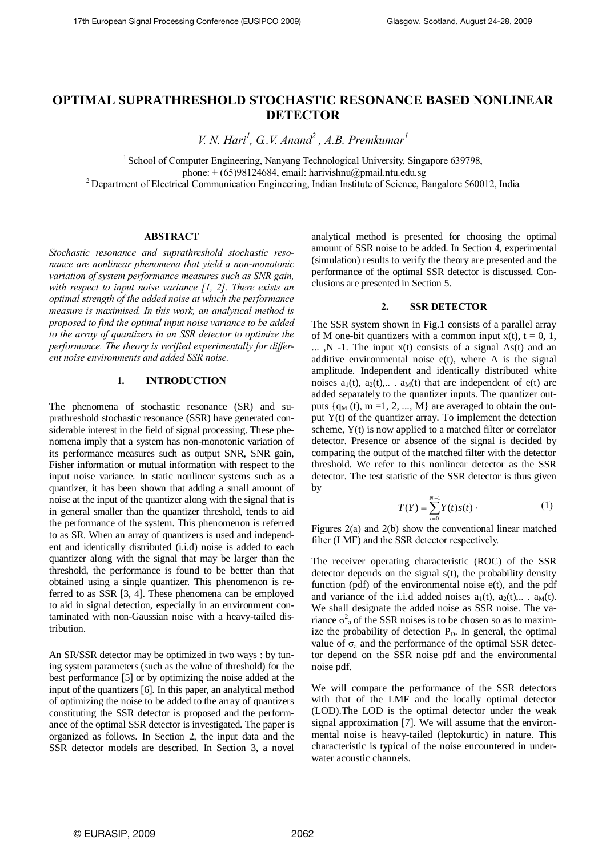# **OPTIMAL SUPRATHRESHOLD STOCHASTIC RESONANCE BASED NONLINEAR DETECTOR**

*V. N. Hari<sup>1</sup> , G..V. Anand<sup>2</sup> , A.B. Premkumar<sup>1</sup>*

<sup>1</sup> School of Computer Engineering, Nanyang Technological University, Singapore 639798, phone: + (65)98124684, email: harivishnu@pmail.ntu.edu.sg <sup>2</sup> Department of Electrical Communication Engineering, Indian Institute of Science, Bangalore 560012, India

#### **ABSTRACT**

*Stochastic resonance and suprathreshold stochastic resonance are nonlinear phenomena that yield a non-monotonic variation of system performance measures such as SNR gain, with respect to input noise variance [1, 2]. There exists an optimal strength of the added noise at which the performance measure is maximised. In this work, an analytical method is proposed to find the optimal input noise variance to be added to the array of quantizers in an SSR detector to optimize the performance. The theory is verified experimentally for different noise environments and added SSR noise.*

## **1. INTRODUCTION**

The phenomena of stochastic resonance (SR) and suprathreshold stochastic resonance (SSR) have generated considerable interest in the field of signal processing. These phenomena imply that a system has non-monotonic variation of its performance measures such as output SNR, SNR gain, Fisher information or mutual information with respect to the input noise variance. In static nonlinear systems such as a quantizer, it has been shown that adding a small amount of noise at the input of the quantizer along with the signal that is in general smaller than the quantizer threshold, tends to aid the performance of the system. This phenomenon is referred to as SR. When an array of quantizers is used and independent and identically distributed (i.i.d) noise is added to each quantizer along with the signal that may be larger than the threshold, the performance is found to be better than that obtained using a single quantizer. This phenomenon is referred to as SSR [3, 4]. These phenomena can be employed to aid in signal detection, especially in an environment contaminated with non-Gaussian noise with a heavy-tailed distribution.

An SR/SSR detector may be optimized in two ways : by tuning system parameters (such as the value of threshold) for the best performance [5] or by optimizing the noise added at the input of the quantizers [6]. In this paper, an analytical method of optimizing the noise to be added to the array of quantizers constituting the SSR detector is proposed and the performance of the optimal SSR detector is investigated. The paper is organized as follows. In Section 2, the input data and the SSR detector models are described. In Section 3, a novel

analytical method is presented for choosing the optimal amount of SSR noise to be added. In Section 4, experimental (simulation) results to verify the theory are presented and the performance of the optimal SSR detector is discussed. Conclusions are presented in Section 5.

## **2. SSR DETECTOR**

The SSR system shown in Fig.1 consists of a parallel array of M one-bit quantizers with a common input  $x(t)$ ,  $t = 0, 1$ ,  $\ldots$ , N -1. The input  $x(t)$  consists of a signal As(t) and an additive environmental noise  $e(t)$ , where A is the signal amplitude. Independent and identically distributed white noises  $a_1(t)$ ,  $a_2(t)$ ,...  $a_M(t)$  that are independent of  $e(t)$  are added separately to the quantizer inputs. The quantizer outputs  $\{q_M (t), m = 1, 2, ..., M\}$  are averaged to obtain the output  $Y(t)$  of the quantizer array. To implement the detection scheme, Y(t) is now applied to a matched filter or correlator detector. Presence or absence of the signal is decided by comparing the output of the matched filter with the detector threshold. We refer to this nonlinear detector as the SSR detector. The test statistic of the SSR detector is thus given by

$$
T(Y) = \sum_{t=0}^{N-1} Y(t) s(t) \,. \tag{1}
$$

Figures 2(a) and 2(b) show the conventional linear matched filter (LMF) and the SSR detector respectively.

The receiver operating characteristic (ROC) of the SSR detector depends on the signal s(t), the probability density function (pdf) of the environmental noise  $e(t)$ , and the pdf and variance of the i.i.d added noises  $a_1(t)$ ,  $a_2(t)$ ,...  $a_M(t)$ . We shall designate the added noise as SSR noise. The variance  $\sigma^2$ <sub>a</sub> of the SSR noises is to be chosen so as to maximize the probability of detection  $P<sub>D</sub>$ . In general, the optimal value of  $\sigma_a$  and the performance of the optimal SSR detector depend on the SSR noise pdf and the environmental noise pdf.

We will compare the performance of the SSR detectors with that of the LMF and the locally optimal detector (LOD).The LOD is the optimal detector under the weak signal approximation [7]. We will assume that the environmental noise is heavy-tailed (leptokurtic) in nature. This characteristic is typical of the noise encountered in underwater acoustic channels.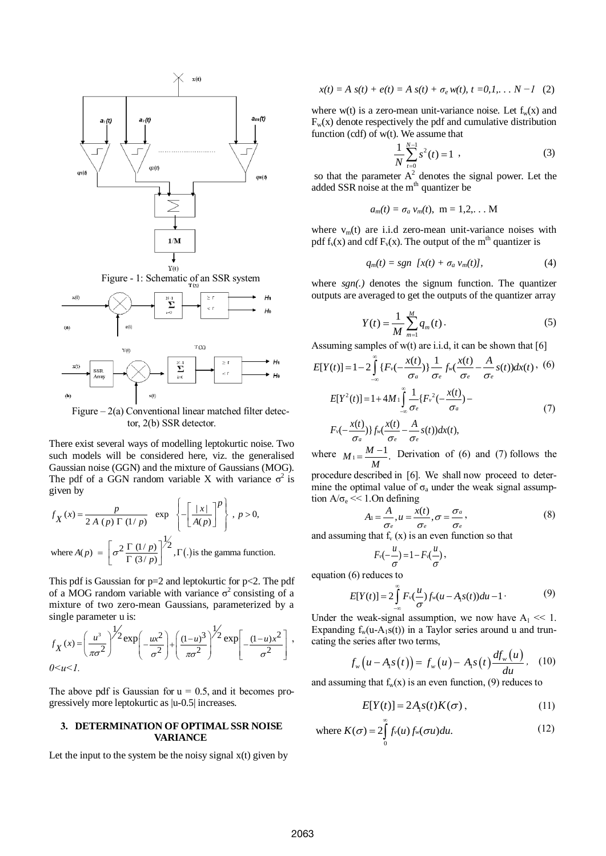

Figure  $-2(a)$  Conventional linear matched filter detector, 2(b) SSR detector.

There exist several ways of modelling leptokurtic noise. Two such models will be considered here, viz. the generalised Gaussian noise (GGN) and the mixture of Gaussians (MOG). The pdf of a GGN random variable X with variance  $\sigma^2$  is<br>given by<br> $f_{\mathbf{v}}(x) = \frac{p}{\sigma^2} \exp \left\{-\left[\frac{|x|}{\sigma^2}\right]_0^p\right\}$ ,  $p > 0$ , given by

given by  
\n
$$
f_X(x) = \frac{p}{2A(p) \Gamma(1/p)}
$$
 exp  $\left\{-\left[\frac{|x|}{A(p)}\right]^p\right\}$ ,  $p > 0$ ,  
\nwhere  $A(p) = \left[\sigma^2 \frac{\Gamma(1/p)}{\Gamma(3/p)}\right]^{1/2}$ ,  $\Gamma(\cdot)$  is the gamma function.

This pdf is Gaussian for  $p=2$  and leptokurtic for  $p<2$ . The pdf of a MOG random variable with variance  $\sigma^2$  consisting of a mixture of two zero-mean Gaussians, parameterized by a single parameter u is:

$$
f_X(x) = \left(\frac{u^3}{\pi\sigma^2}\right)^{1/2} \exp\left(-\frac{ux^2}{\sigma^2}\right) + \left(\frac{(1-u)^3}{\pi\sigma^2}\right)^{1/2} \exp\left[-\frac{(1-u)x^2}{\sigma^2}\right],
$$
  
0 < u < 1.

The above pdf is Gaussian for  $u = 0.5$ , and it becomes progressively more leptokurtic as |u-0.5| increases.

## **3. DETERMINATION OF OPTIMALSSR NOISE VARIANCE**

Let the input to the system be the noisy signal  $x(t)$  given by

$$
x(t) = A \, s(t) + e(t) = A \, s(t) + \sigma_e \, w(t), \, t = 0, 1, \ldots N - 1 \quad (2)
$$

where w(t) is a zero-mean unit-variance noise. Let  $f_w(x)$  and  $F_w(x)$  denote respectively the pdf and cumulative distribution function (cdf) of w(t). We assume that

$$
\frac{1}{N} \sum_{t=0}^{N-1} s^2(t) = 1 \tag{3}
$$

so that the parameter  $A^2$  denotes the signal power. Let the added SSR noise at the m<sup>th</sup> quantizer be

$$
a_m(t) = \sigma_a v_m(t), \ \mathbf{m} = 1, 2, \dots \mathbf{M}
$$

where  $v<sub>m</sub>(t)$  are i.i.d zero-mean unit-variance noises with pdf  $f_v(x)$  and cdf  $F_v(x)$ . The output of the m<sup>th</sup> quantizer is

$$
q_m(t) = sgn [x(t) + \sigma_a v_m(t)], \qquad (4)
$$

where *sgn(.)* denotes the signum function. The quantizer outputs are averaged to get the outputs of the quantizer array

$$
Y(t) = \frac{1}{M} \sum_{m=1}^{M} q_m(t).
$$
 (5)

Assuming samples of w(t) are i.i.d, it can be shown that [6]  
\n
$$
E[Y(t)] = 1 - 2 \int_{-\infty}^{\infty} \{F_v(-\frac{x(t)}{\sigma_a})\} \frac{1}{\sigma_e} f_w(\frac{x(t)}{\sigma_e} - \frac{A}{\sigma_e} s(t)) dx(t),
$$
 (6)  
\n
$$
E[Y^2(t)] = 1 + 4M_1 \int_{-\infty}^{\infty} \frac{1}{\sigma_e} \{F_v^2(-\frac{x(t)}{\sigma_a}) - \frac{A}{\sigma_e} s(t) \} dx(t),
$$
 (7)  
\n
$$
F_v(-\frac{x(t)}{\sigma_a})\} f_w(\frac{x(t)}{\sigma_e} - \frac{A}{\sigma_e} s(t)) dx(t),
$$

where  $M_1 = \frac{M-1}{M}$ .  $=\frac{M-1}{M}$ . Derivation of (6) and (7) follows the

procedure described in [6]. We shall now proceed to determine the optimal value of  $\sigma_a$  under the weak signal assump-

tion 
$$
A/\sigma_e \ll 1
$$
. On defining  

$$
A_1 = \frac{A}{\sigma_e}, u = \frac{x(t)}{\sigma_e}, \sigma = \frac{\sigma_a}{\sigma_e},
$$
(8)

and assuming that  $f_{v}(x)$  is an even function so that

$$
F_v(-\frac{u}{\sigma})=1-F_v(\frac{u}{\sigma}),
$$

equation (6) reduces to

$$
E[Y(t)] = 2\int_{-\infty}^{\infty} F_v(\frac{u}{\sigma}) f_w(u - A_1 s(t)) du - 1
$$
 (9)

Under the weak-signal assumption, we now have  $A_1 \ll 1$ . Expanding  $f_w(u-A_1s(t))$  in a Taylor series around u and truncating the series after two terms, *df u*

$$
f_w(u - A_1 s(t)) = f_w(u) - A_1 s(t) \frac{df_w(u)}{du}, \quad (10)
$$

and assuming that  $f_w(x)$  is an even function, (9) reduces to

$$
E[Y(t)] = 2A1s(t)K(\sigma),
$$
\n(11)

where 
$$
K(\sigma) = 2 \int_{0}^{\infty} f_v(u) f_w(\sigma u) du.
$$
 (12)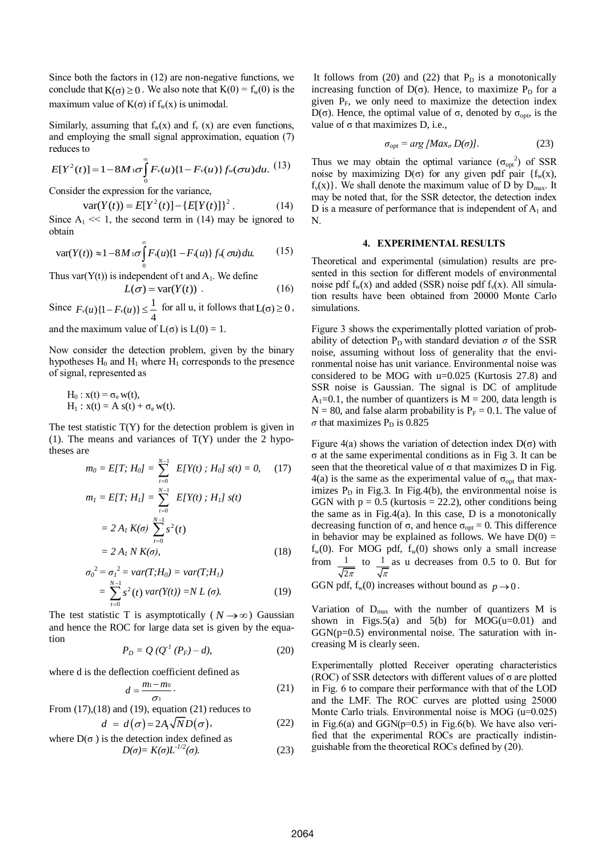Since both the factors in (12) are non-negative functions, we conclude that  $K(\sigma) \ge 0$ . We also note that  $K(0) = f_w(0)$  is the maximum value of  $K(\sigma)$  if  $f_w(x)$  is unimodal.

Similarly, assuming that  $f_w(x)$  and  $f_v(x)$  are even functions, and employing the small signal approximation, equation (7) reduces to

reduces to  
\n
$$
E[Y^{2}(t)] = 1 - 8M \log \int_{0}^{\infty} F_{\nu}(u) \{1 - F_{\nu}(u)\} f_{\nu}(\sigma u) du. (13)
$$

Consider the expression for the variance,  
\n
$$
var(Y(t)) = E[Y^{2}(t)] - \{E[Y(t)]\}^{2}.
$$
\n(14)

Since  $A_1 \ll 1$ , the second term in (14) may be ignored to obtain

obtain  
\n
$$
\text{var}(Y(t)) \approx 1 - 8M \log \int_{0}^{\infty} F_1(u) \{1 - F_2(u)\} f_2(\sigma u) \, du. \tag{15}
$$

Thus var $(Y(t))$  is independent of t and  $A_1$ . We define

$$
L(\sigma) = \text{var}(Y(t)) \tag{16}
$$

Since  $F_v(u)\{1 - F_v(u)\} \leq \frac{1}{4}$  for all u, it follows that  $L(\sigma) \geq 0$ , and the maximum value of  $L(\sigma)$  is  $L(0) = 1$ .

Now consider the detection problem, given by the binary hypotheses  $H_0$  and  $H_1$  where  $H_1$  corresponds to the presence of signal, represented as

$$
H_0: x(t) = \sigma_e w(t),
$$
  
 
$$
H_1: x(t) = A s(t) + \sigma_e w(t).
$$

The test statistic  $T(Y)$  for the detection problem is given in (1). The means and variances of  $T(Y)$  under the 2 hypotheses are

$$
m_0 = E[T; H_0] = \sum_{t=0}^{N-1} E[Y(t); H_0] s(t) = 0,
$$
 (17)  
\n
$$
m_1 = E[T; H_1] = \sum_{t=0}^{N-1} E[Y(t); H_1] s(t)
$$
\n
$$
= 2 A_1 K(\sigma) \sum_{t=0}^{N-1} s^2(t)
$$
\n
$$
= 2 A_1 N K(\sigma),
$$
 (18)

$$
\sigma_0^2 = \sigma_1^2 = var(T; H_0) = var(T; H_1)
$$
  
= 
$$
\sum_{t=0}^{N-1} s^2(t) var(Y(t)) = NL(\sigma).
$$
 (19)

The test statistic T is asymptotically  $(N \rightarrow \infty)$  Gaussian and hence the ROC for large data set is given by the equation

$$
P_D = Q (Q^{-1} (P_F) - d), \tag{20}
$$

where d is the deflection coefficient defined as

$$
d = \frac{m_1 - m_0}{\sigma_1}.
$$
 (21)

From (17),(18) and (19), equation (21) reduces to  
\n
$$
d = d(\sigma) = 2A_1 \sqrt{N} D(\sigma).
$$
\n(22)  
\nwhere D( $\sigma$ ) is the detection index defined as

$$
D(\sigma) = K(\sigma)L^{-1/2}(\sigma). \tag{23}
$$

It follows from  $(20)$  and  $(22)$  that  $P_D$  is a monotonically increasing function of  $D(\sigma)$ . Hence, to maximize  $P_D$  for a given  $P_F$ , we only need to maximize the detection index D(σ). Hence, the optimal value of σ, denoted by  $\sigma_{opt}$ , is the value of  $σ$  that maximizes D, i.e.,

$$
\sigma_{opt} = \arg \left[ \text{Max}_{\sigma} D(\sigma) \right]. \tag{23}
$$

Thus we may obtain the optimal variance  $(\sigma_{opt}^2)$  of SSR noise by maximizing D(σ) for any given pdf pair {f<sub>w</sub>(x),  $f_{\nu}(x)$ . We shall denote the maximum value of D by  $D_{\text{max}}$ . It may be noted that, for the SSR detector, the detection index D is a measure of performance that is independent of  $A_1$  and N.

## **4. EXPERIMENTAL RESULTS**

Theoretical and experimental (simulation) results are presented in this section for different models of environmental noise pdf  $f_w(x)$  and added (SSR) noise pdf  $f_v(x)$ . All simulation results have been obtained from 20000 Monte Carlo simulations.

Figure 3 shows the experimentally plotted variation of probability of detection  $P_D$  with standard deviation  $\sigma$  of the SSR noise, assuming without loss of generality that the environmental noise has unit variance. Environmental noise was considered to be MOG with u=0.025 (Kurtosis 27.8) and SSR noise is Gaussian. The signal is DC of amplitude  $A_1=0.1$ , the number of quantizers is  $M = 200$ , data length is  $N = 80$ , and false alarm probability is  $P_F = 0.1$ . The value of  $\sigma$  that maximizes  $P_D$  is 0.825

Figure 4(a) shows the variation of detection index  $D(\sigma)$  with σ at the same experimental conditions as in Fig 3. It can be seen that the theoretical value of  $\sigma$  that maximizes D in Fig. 4(a) is the same as the experimental value of  $\sigma_{opt}$  that maximizes  $P_D$  in Fig.3. In Fig.4(b), the environmental noise is GGN with  $p = 0.5$  (kurtosis = 22.2), other conditions being the same as in Fig.4(a). In this case,  $D$  is a monotonically decreasing function of σ, and hence  $\sigma_{opt} = 0$ . This difference in behavior may be explained as follows. We have  $D(0) =$  $f_w(0)$ . For MOG pdf,  $f_w(0)$  shows only a small increase from  $1$  $2\pi$ to  $\frac{1}{-}$ π as u decreases from 0.5 to 0. But for

GGN pdf,  $f_w(0)$  increases without bound as  $p \rightarrow 0$ .

Variation of  $D_{\text{max}}$  with the number of quantizers M is shown in Figs.5(a) and  $5(b)$  for MOG(u=0.01) and  $GGN(p=0.5)$  environmental noise. The saturation with increasing M is clearly seen.

Experimentally plotted Receiver operating characteristics (ROC) of SSR detectors with different values of  $\sigma$  are plotted in Fig. 6 to compare their performance with that of the LOD and the LMF. The ROC curves are plotted using 25000 Monte Carlo trials. Environmental noise is MOG (u=0.025) in Fig.6(a) and GGN( $p=0.5$ ) in Fig.6(b). We have also verified that the experimental ROCs are practically indistinguishable from the theoretical ROCs defined by (20).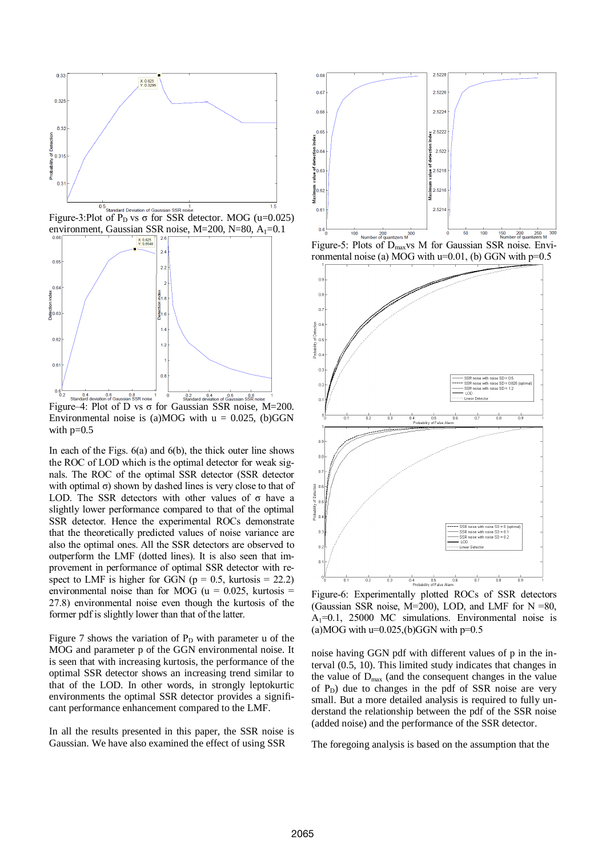

Figure-3:Plot of P<sub>D</sub> vs  $\sigma$  for SSR detector. MOG (u=0.025) environment, Gaussian SSR noise, M=200, N=80, A<sub>1</sub>=0.1



Figure–4: Plot of D vs  $\sigma$  for Gaussian SSR noise, M=200. Environmental noise is (a)MOG with  $u = 0.025$ , (b)GGN with  $p=0.5$ 

In each of the Figs.  $6(a)$  and  $6(b)$ , the thick outer line shows the ROC of LOD which is the optimal detector for weak signals. The ROC of the optimal SSR detector (SSR detector with optimal  $\sigma$ ) shown by dashed lines is very close to that of LOD. The SSR detectors with other values of  $\sigma$  have a slightly lower performance compared to that of the optimal SSR detector. Hence the experimental ROCs demonstrate that the theoretically predicted values of noise variance are also the optimal ones. All the SSR detectors are observed to outperform the LMF (dotted lines). It is also seen that improvement in performance of optimal SSR detector with respect to LMF is higher for GGN ( $p = 0.5$ , kurtosis = 22.2) environmental noise than for MOG ( $u = 0.025$ , kurtosis = 27.8) environmental noise even though the kurtosis of the former pdf is slightly lower than that of the latter.

Figure 7 shows the variation of  $P_D$  with parameter u of the MOG and parameter p of the GGN environmental noise. It is seen that with increasing kurtosis, the performance of the optimal SSR detector shows an increasing trend similar to that of the LOD. In other words, in strongly leptokurtic environments the optimal SSR detector provides a significant performance enhancement compared to the LMF.

In all the results presented in this paper, the SSR noise is Gaussian. We have also examined the effect of using SSR



Figure-5: Plots of D<sub>max</sub>vs M for Gaussian SSR noise. Environmental noise (a) MOG with  $u=0.01$ , (b) GGN with  $p=0.5$ 



Figure-6: Experimentally plotted ROCs of SSR detectors (Gaussian SSR noise,  $M=200$ ), LOD, and LMF for  $N = 80$ ,  $A_1=0.1$ , 25000 MC simulations. Environmental noise is (a)MOG with  $u=0.025$ , (b)GGN with  $p=0.5$ 

noise having GGN pdf with different values of p in the interval (0.5, 10). This limited study indicates that changes in the value of  $D_{\text{max}}$  (and the consequent changes in the value of  $P_D$ ) due to changes in the pdf of SSR noise are very small. But a more detailed analysis is required to fully understand the relationship between the pdf of the SSR noise (added noise) and the performance of the SSR detector.

The foregoing analysis is based on the assumption that the